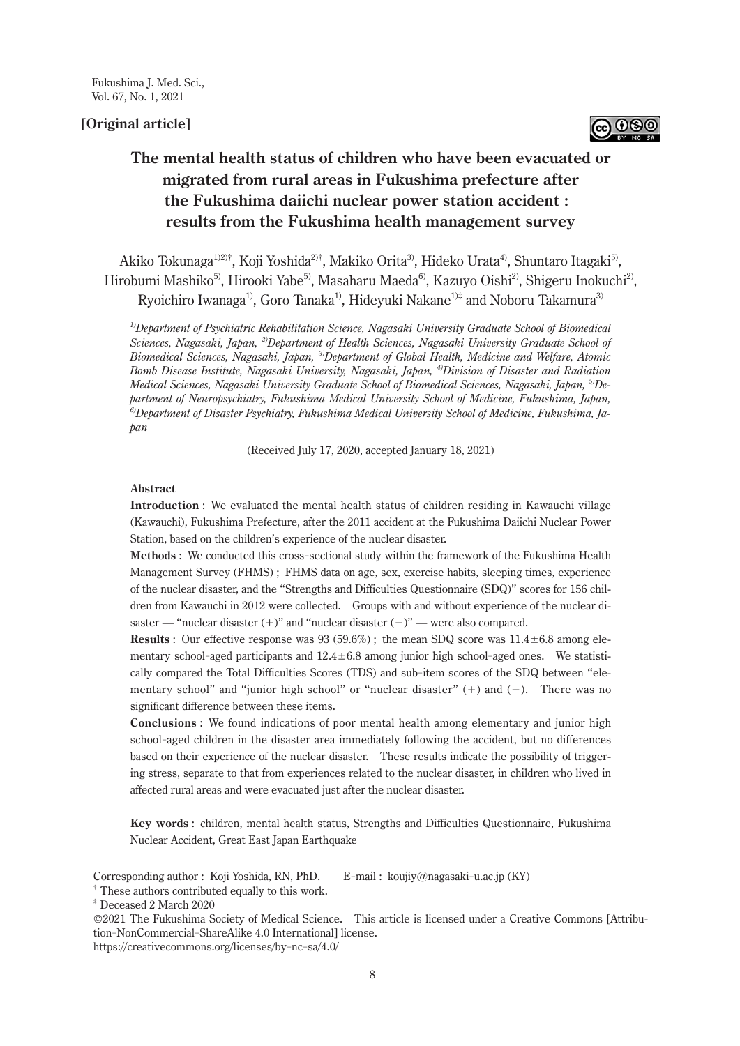# **[Original article]**



# **The mental health status of children who have been evacuated or migrated from rural areas in Fukushima prefecture after the Fukushima daiichi nuclear power station accident : results from the Fukushima health management survey**

Akiko Tokunaga<sup>1)2)†</sup>, Koji Yoshida<sup>2)†</sup>, Makiko Orita<sup>3)</sup>, Hideko Urata<sup>4</sup>, Shuntaro Itagaki<sup>5)</sup>, Hirobumi Mashiko<sup>5)</sup>, Hirooki Yabe<sup>5)</sup>, Masaharu Maeda<sup>6)</sup>, Kazuyo Oishi<sup>2)</sup>, Shigeru Inokuchi<sup>2)</sup>, Ryoichiro Iwanaga<sup>1)</sup>, Goro Tanaka<sup>1)</sup>, Hideyuki Nakane<sup>1)‡</sup> and Noboru Takamura<sup>3)</sup>

*1)Department of Psychiatric Rehabilitation Science, Nagasaki University Graduate School of Biomedical Sciences, Nagasaki, Japan, 2)Department of Health Sciences, Nagasaki University Graduate School of Biomedical Sciences, Nagasaki, Japan, 3)Department of Global Health, Medicine and Welfare, Atomic Bomb Disease Institute, Nagasaki University, Nagasaki, Japan, 4)Division of Disaster and Radiation Medical Sciences, Nagasaki University Graduate School of Biomedical Sciences, Nagasaki, Japan, 5)Department of Neuropsychiatry, Fukushima Medical University School of Medicine, Fukushima, Japan, 6)Department of Disaster Psychiatry, Fukushima Medical University School of Medicine, Fukushima, Japan*

(Received July 17, 2020, accepted January 18, 2021)

#### **Abstract**

**Introduction** : We evaluated the mental health status of children residing in Kawauchi village (Kawauchi), Fukushima Prefecture, after the 2011 accident at the Fukushima Daiichi Nuclear Power Station, based on the children's experience of the nuclear disaster.

**Methods** : We conducted this cross-sectional study within the framework of the Fukushima Health Management Survey (FHMS) ; FHMS data on age, sex, exercise habits, sleeping times, experience of the nuclear disaster, and the "Strengths and Difficulties Questionnaire (SDQ)" scores for 156 children from Kawauchi in 2012 were collected. Groups with and without experience of the nuclear disaster — "nuclear disaster  $(+)$ " and "nuclear disaster  $(-)$ " — were also compared.

**Results** : Our effective response was 93 (59.6%) ; the mean SDQ score was 11.4±6.8 among elementary school-aged participants and  $12.4 \pm 6.8$  among junior high school-aged ones. We statistically compared the Total Difficulties Scores (TDS) and sub-item scores of the SDQ between "elementary school" and "junior high school" or "nuclear disaster" (+) and (−). There was no significant difference between these items.

**Conclusions** : We found indications of poor mental health among elementary and junior high school-aged children in the disaster area immediately following the accident, but no differences based on their experience of the nuclear disaster. These results indicate the possibility of triggering stress, separate to that from experiences related to the nuclear disaster, in children who lived in affected rural areas and were evacuated just after the nuclear disaster.

**Key words** : children, mental health status, Strengths and Difficulties Questionnaire, Fukushima Nuclear Accident, Great East Japan Earthquake

Corresponding author : Koji Yoshida, RN, PhD. mail : koujiy@nagasaki-u.ac.jp (KY)

<sup>†</sup> These authors contributed equally to this work.

<sup>‡</sup> Deceased 2 March 2020

<sup>©2021</sup> The Fukushima Society of Medical Science. This article is licensed under a Creative Commons [Attribution-NonCommercial-ShareAlike 4.0 International] license. https://creativecommons.org/licenses/by-nc-sa/4.0/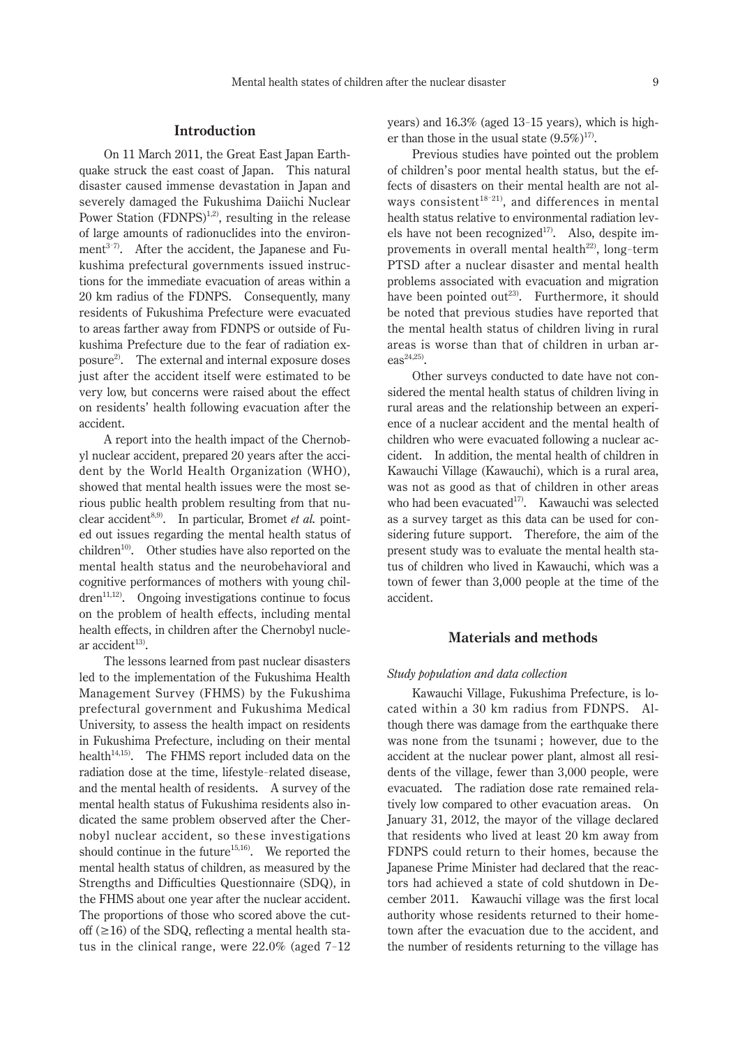# **Introduction**

On 11 March 2011, the Great East Japan Earthquake struck the east coast of Japan. This natural disaster caused immense devastation in Japan and severely damaged the Fukushima Daiichi Nuclear Power Station  $(FDNPS)^{1,2}$ , resulting in the release of large amounts of radionuclides into the environment $3^{37}$ . After the accident, the Japanese and Fukushima prefectural governments issued instructions for the immediate evacuation of areas within a 20 km radius of the FDNPS. Consequently, many residents of Fukushima Prefecture were evacuated to areas farther away from FDNPS or outside of Fukushima Prefecture due to the fear of radiation exposure2). The external and internal exposure doses just after the accident itself were estimated to be very low, but concerns were raised about the effect on residents' health following evacuation after the accident.

A report into the health impact of the Chernobyl nuclear accident, prepared 20 years after the accident by the World Health Organization (WHO), showed that mental health issues were the most serious public health problem resulting from that nuclear accident<sup>8,9)</sup>. In particular, Bromet *et al.* pointed out issues regarding the mental health status of children<sup>10)</sup>. Other studies have also reported on the mental health status and the neurobehavioral and cognitive performances of mothers with young children<sup>11,12)</sup>. Ongoing investigations continue to focus on the problem of health effects, including mental health effects, in children after the Chernobyl nuclear accident $13$ ).

The lessons learned from past nuclear disasters led to the implementation of the Fukushima Health Management Survey (FHMS) by the Fukushima prefectural government and Fukushima Medical University, to assess the health impact on residents in Fukushima Prefecture, including on their mental health $14,15$ ). The FHMS report included data on the radiation dose at the time, lifestyle-related disease, and the mental health of residents. A survey of the mental health status of Fukushima residents also indicated the same problem observed after the Chernobyl nuclear accident, so these investigations should continue in the future<sup>15,16</sup>. We reported the mental health status of children, as measured by the Strengths and Difficulties Questionnaire (SDQ), in the FHMS about one year after the nuclear accident. The proportions of those who scored above the cutoff  $(\geq 16)$  of the SDQ, reflecting a mental health status in the clinical range, were 22.0% (aged 7-12

years) and 16.3% (aged 13- 15 years), which is higher than those in the usual state  $(9.5\%)^{17}$ .

Previous studies have pointed out the problem of children's poor mental health status, but the effects of disasters on their mental health are not always consistent<sup>18-21)</sup>, and differences in mental health status relative to environmental radiation levels have not been recognized $17$ . Also, despite improvements in overall mental health<sup>22)</sup>, long-term PTSD after a nuclear disaster and mental health problems associated with evacuation and migration have been pointed out<sup>23)</sup>. Furthermore, it should be noted that previous studies have reported that the mental health status of children living in rural areas is worse than that of children in urban ar- $\text{eas}^{24,25}$ .

Other surveys conducted to date have not considered the mental health status of children living in rural areas and the relationship between an experience of a nuclear accident and the mental health of children who were evacuated following a nuclear accident. In addition, the mental health of children in Kawauchi Village (Kawauchi), which is a rural area, was not as good as that of children in other areas who had been evacuated<sup>17</sup>. Kawauchi was selected as a survey target as this data can be used for considering future support. Therefore, the aim of the present study was to evaluate the mental health status of children who lived in Kawauchi, which was a town of fewer than 3,000 people at the time of the accident.

# **Materials and methods**

#### *Study population and data collection*

Kawauchi Village, Fukushima Prefecture, is located within a 30 km radius from FDNPS. Although there was damage from the earthquake there was none from the tsunami ; however, due to the accident at the nuclear power plant, almost all residents of the village, fewer than 3,000 people, were evacuated. The radiation dose rate remained relatively low compared to other evacuation areas. On January 31, 2012, the mayor of the village declared that residents who lived at least 20 km away from FDNPS could return to their homes, because the Japanese Prime Minister had declared that the reactors had achieved a state of cold shutdown in December 2011. Kawauchi village was the first local authority whose residents returned to their hometown after the evacuation due to the accident, and the number of residents returning to the village has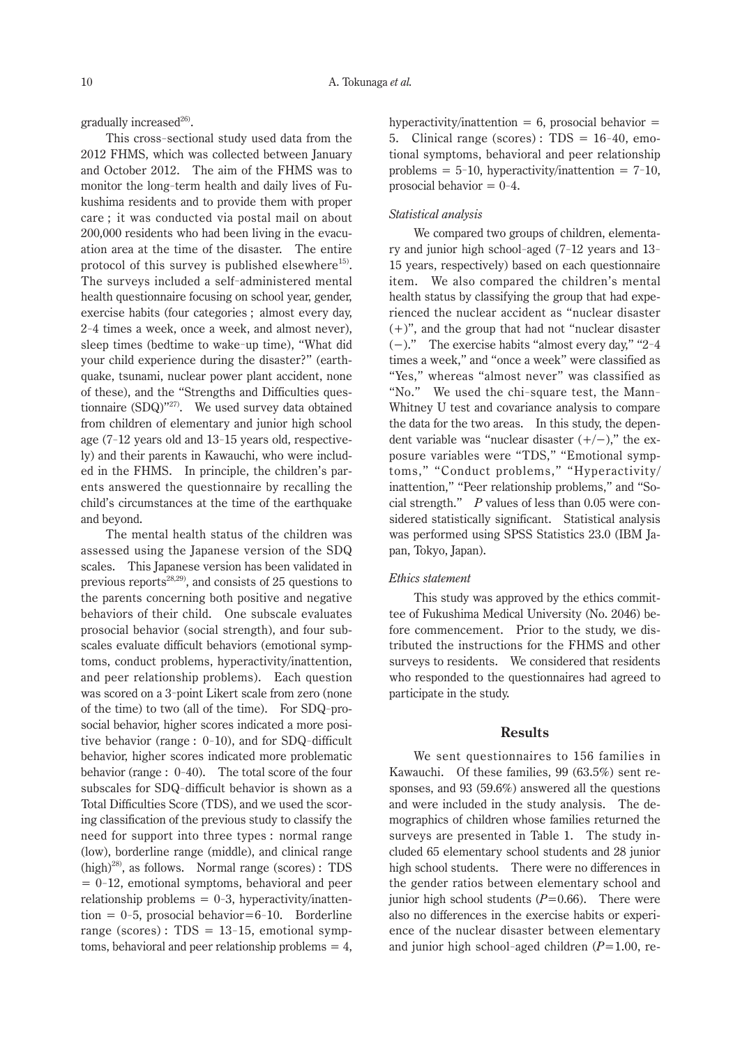gradually increased $26$ .

This cross-sectional study used data from the 2012 FHMS, which was collected between January and October 2012. The aim of the FHMS was to monitor the long-term health and daily lives of Fukushima residents and to provide them with proper care ; it was conducted via postal mail on about 200,000 residents who had been living in the evacuation area at the time of the disaster. The entire protocol of this survey is published elsewhere $^{15}$ . The surveys included a self-administered mental health questionnaire focusing on school year, gender, exercise habits (four categories ; almost every day, 2- 4 times a week, once a week, and almost never), sleep times (bedtime to wake-up time), "What did your child experience during the disaster?" (earthquake, tsunami, nuclear power plant accident, none of these), and the "Strengths and Difficulties questionnaire (SDQ)"27). We used survey data obtained from children of elementary and junior high school age (7- 12 years old and 13- 15 years old, respectively) and their parents in Kawauchi, who were included in the FHMS. In principle, the children's parents answered the questionnaire by recalling the child's circumstances at the time of the earthquake and beyond.

The mental health status of the children was assessed using the Japanese version of the SDQ scales. This Japanese version has been validated in previous reports<sup>28,29</sup>, and consists of 25 questions to the parents concerning both positive and negative behaviors of their child. One subscale evaluates prosocial behavior (social strength), and four subscales evaluate difficult behaviors (emotional symptoms, conduct problems, hyperactivity/inattention, and peer relationship problems). Each question was scored on a 3- point Likert scale from zero (none of the time) to two (all of the time). For SDQ-prosocial behavior, higher scores indicated a more positive behavior (range : 0- 10), and for SDQ-difficult behavior, higher scores indicated more problematic behavior (range :  $0-40$ ). The total score of the four subscales for SDQ-difficult behavior is shown as a Total Difficulties Score (TDS), and we used the scoring classification of the previous study to classify the need for support into three types : normal range (low), borderline range (middle), and clinical range  $(high)^{28}$ , as follows. Normal range (scores): TDS  $= 0$ -12, emotional symptoms, behavioral and peer relationship problems =  $0-3$ , hyperactivity/inatten- $\text{tion} = 0-5$ , prosocial behavior=6-10. Borderline range (scores):  $TDS = 13-15$ , emotional symptoms, behavioral and peer relationship problems  $= 4$ ,

hyperactivity/inattention  $= 6$ , prosocial behavior  $=$ 5. Clinical range (scores):  $TDS = 16-40$ , emotional symptoms, behavioral and peer relationship problems =  $5-10$ , hyperactivity/inattention =  $7-10$ , prosocial behavior  $= 0-4$ .

#### *Statistical analysis*

We compared two groups of children, elementary and junior high school-aged (7- 12 years and 13- 15 years, respectively) based on each questionnaire item. We also compared the children's mental health status by classifying the group that had experienced the nuclear accident as "nuclear disaster (+)", and the group that had not "nuclear disaster (−)." The exercise habits "almost every day," "2- 4 times a week," and "once a week" were classified as "Yes," whereas "almost never" was classified as "No." We used the chi-square test, the Mann-Whitney U test and covariance analysis to compare the data for the two areas. In this study, the dependent variable was "nuclear disaster  $(+/-)$ ," the exposure variables were "TDS," "Emotional symptoms," "Conduct problems," "Hyperactivity/ inattention," "Peer relationship problems," and "Social strength." *P* values of less than 0.05 were considered statistically significant. Statistical analysis was performed using SPSS Statistics 23.0 (IBM Japan, Tokyo, Japan).

## *Ethics statement*

This study was approved by the ethics committee of Fukushima Medical University (No. 2046) before commencement. Prior to the study, we distributed the instructions for the FHMS and other surveys to residents. We considered that residents who responded to the questionnaires had agreed to participate in the study.

# **Results**

We sent questionnaires to 156 families in Kawauchi. Of these families, 99 (63.5%) sent responses, and 93 (59.6%) answered all the questions and were included in the study analysis. The demographics of children whose families returned the surveys are presented in Table 1. The study included 65 elementary school students and 28 junior high school students. There were no differences in the gender ratios between elementary school and junior high school students  $(P=0.66)$ . There were also no differences in the exercise habits or experience of the nuclear disaster between elementary and junior high school-aged children (*P*=1.00, re-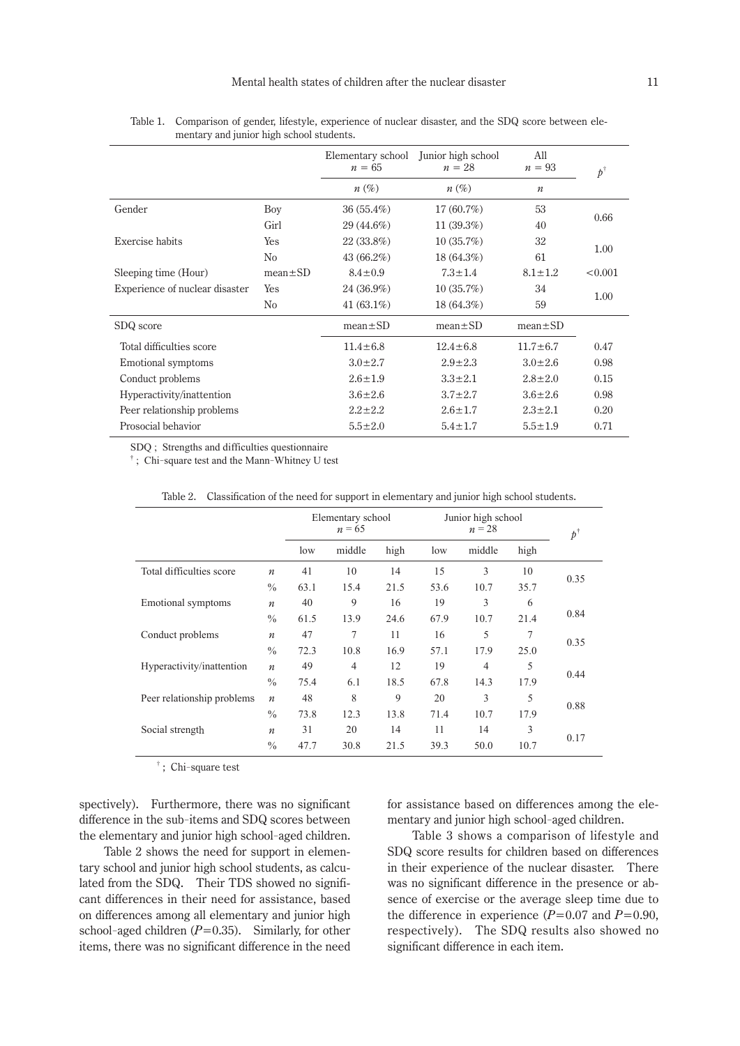|                                |               | Elementary school<br>$n = 65$ | Junior high school<br>$n=28$ | A11<br>$n = 93$  | $p^\dagger$ |  |
|--------------------------------|---------------|-------------------------------|------------------------------|------------------|-------------|--|
|                                |               | $n(\%)$                       | $n(\%)$                      | $\boldsymbol{n}$ |             |  |
| Gender                         | Boy           | $36(55.4\%)$                  | $17(60.7\%)$                 | 53               |             |  |
|                                | Girl          | 29 (44.6%)                    | 11(39.3%)                    | 40               | 0.66        |  |
| Exercise habits                | Yes           | 22 (33.8%)                    | 10(35.7%)                    | 32               |             |  |
|                                | No            | 43 (66.2%)                    | 18 (64.3%)                   | 61               | 1.00        |  |
| Sleeping time (Hour)           | $mean \pm SD$ | $8.4 \pm 0.9$                 | $7.3 \pm 1.4$                | $8.1 \pm 1.2$    | < 0.001     |  |
| Experience of nuclear disaster | Yes           | 24 (36.9%)                    | 10(35.7%)                    | 34               |             |  |
|                                | No            | 41 $(63.1\%)$                 | 18(64.3%)                    | 59               | 1.00        |  |
| SDQ score                      |               | $mean \pm SD$                 | $mean \pm SD$                | $mean \pm SD$    |             |  |
| Total difficulties score       |               | $11.4 \pm 6.8$                | $12.4 \pm 6.8$               | $11.7 \pm 6.7$   | 0.47        |  |
| Emotional symptoms             |               | $3.0 \pm 2.7$                 | $2.9 + 2.3$                  | $3.0 \pm 2.6$    | 0.98        |  |
| Conduct problems               |               | $2.6 \pm 1.9$                 | $3.3 \pm 2.1$                | $2.8 \pm 2.0$    | 0.15        |  |
| Hyperactivity/inattention      |               | $3.6 \pm 2.6$                 | $3.7 \pm 2.7$                | $3.6 \pm 2.6$    | 0.98        |  |
| Peer relationship problems     |               | $2.2 \pm 2.2$                 | $2.6 \pm 1.7$                | $2.3 \pm 2.1$    | 0.20        |  |
| Prosocial behavior             |               | $5.5 \pm 2.0$                 | $5.4 \pm 1.7$                | $5.5 \pm 1.9$    | 0.71        |  |

Table 1. Comparison of gender, lifestyle, experience of nuclear disaster, and the SDQ score between elementary and junior high school students.

SDQ ; Strengths and difficulties questionnaire

† ; Chi-square test and the Mann-Whitney U test

|                            |                  | Elementary school<br>$n = 65$ |                |      | Junior high school<br>$n=28$ |                |      | $p^{\dagger}$ |
|----------------------------|------------------|-------------------------------|----------------|------|------------------------------|----------------|------|---------------|
|                            |                  | low                           | middle         | high | low                          | middle         | high |               |
| Total difficulties score   | $\boldsymbol{n}$ | 41                            | 10             | 14   | 15                           | 3              | 10   |               |
|                            | $\frac{0}{0}$    | 63.1                          | 15.4           | 21.5 | 53.6                         | 10.7           | 35.7 | 0.35          |
| Emotional symptoms         | $\boldsymbol{n}$ | 40                            | 9              | 16   | 19                           | 3              | 6    |               |
|                            | $\frac{0}{0}$    | 61.5                          | 13.9           | 24.6 | 67.9                         | 10.7           | 21.4 | 0.84          |
| Conduct problems           | $\boldsymbol{n}$ | 47                            | 7              | 11   | 16                           | 5              | 7    | 0.35          |
|                            | $\frac{0}{0}$    | 72.3                          | 10.8           | 16.9 | 57.1                         | 17.9           | 25.0 |               |
| Hyperactivity/inattention  | $\boldsymbol{n}$ | 49                            | $\overline{4}$ | 12   | 19                           | $\overline{4}$ | 5    | 0.44          |
|                            | $\frac{0}{0}$    | 75.4                          | 6.1            | 18.5 | 67.8                         | 14.3           | 17.9 |               |
| Peer relationship problems | $\boldsymbol{n}$ | 48                            | 8              | 9    | 20                           | 3              | 5    |               |
|                            | $\frac{0}{0}$    | 73.8                          | 12.3           | 13.8 | 71.4                         | 10.7           | 17.9 | 0.88          |
| Social strength            | $\boldsymbol{n}$ | 31                            | 20             | 14   | 11                           | 14             | 3    | 0.17          |
|                            | $\frac{0}{0}$    | 47.7                          | 30.8           | 21.5 | 39.3                         | 50.0           | 10.7 |               |

Table 2. Classification of the need for support in elementary and junior high school students.

† ; Chi-square test

spectively). Furthermore, there was no significant difference in the sub-items and SDQ scores between the elementary and junior high school-aged children.

Table 2 shows the need for support in elementary school and junior high school students, as calculated from the SDQ. Their TDS showed no significant differences in their need for assistance, based on differences among all elementary and junior high school-aged children  $(P=0.35)$ . Similarly, for other items, there was no significant difference in the need

for assistance based on differences among the elementary and junior high school-aged children.

Table 3 shows a comparison of lifestyle and SDQ score results for children based on differences in their experience of the nuclear disaster. There was no significant difference in the presence or absence of exercise or the average sleep time due to the difference in experience  $(P=0.07 \text{ and } P=0.90,$ respectively). The SDQ results also showed no significant difference in each item.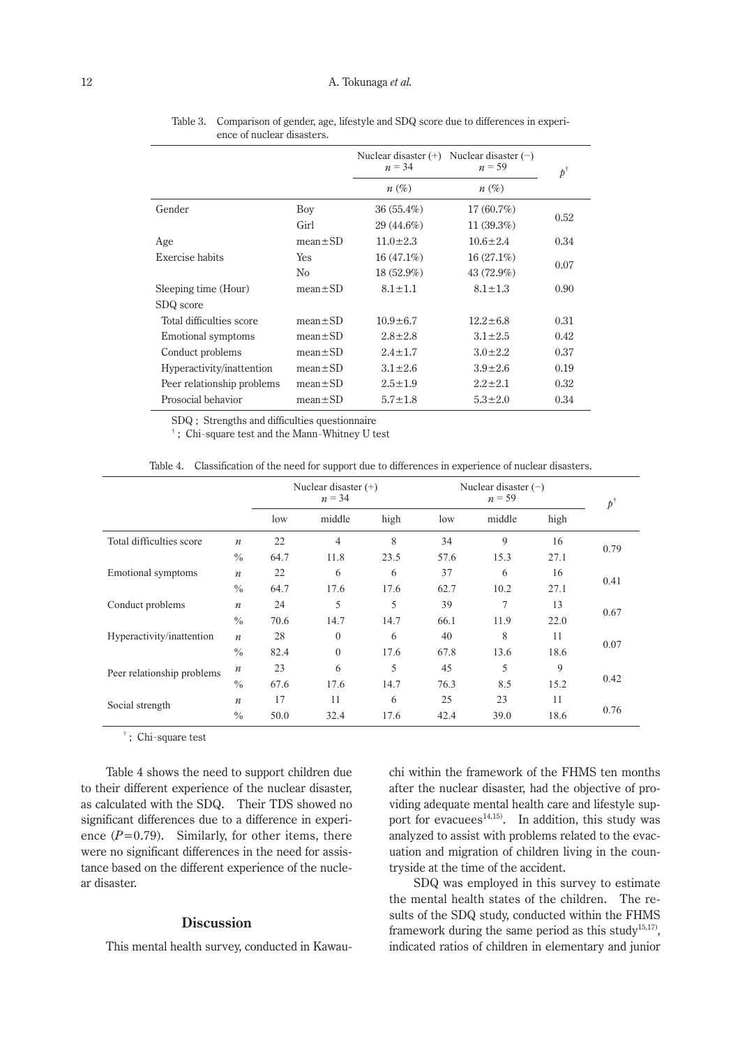|                            |                | Nuclear disaster $(+)$<br>$n = 34$ | Nuclear disaster $(-)$<br>$n = 59$ | $p^{\dagger}$ |  |
|----------------------------|----------------|------------------------------------|------------------------------------|---------------|--|
|                            |                | $n(\%)$                            | $n(\%)$                            |               |  |
| Gender                     | Boy            | 36(55.4%)                          | 17(60.7%)                          |               |  |
|                            | Girl           | 29 (44.6%)                         | 11(39.3%)                          | 0.52          |  |
| Age                        | $mean \pm SD$  | $11.0 \pm 2.3$                     | $10.6 \pm 2.4$                     | 0.34          |  |
| Exercise habits            | <b>Yes</b>     | 16(47.1%)                          | 16(27.1%)                          |               |  |
|                            | N <sub>0</sub> | $18(52.9\%)$                       | 43 (72.9%)                         | 0.07          |  |
| Sleeping time (Hour)       | $mean \pm SD$  | $8.1 \pm 1.1$                      | $8.1 \pm 1.3$                      | 0.90          |  |
| SDQ score                  |                |                                    |                                    |               |  |
| Total difficulties score   | $mean \pm SD$  | $10.9 \pm 6.7$                     | $12.2 \pm 6.8$                     | 0.31          |  |
| Emotional symptoms         | $mean \pm SD$  | $2.8 \pm 2.8$                      | $3.1 \pm 2.5$                      | 0.42          |  |
| Conduct problems           | $mean \pm SD$  | $2.4 \pm 1.7$                      | $3.0 \pm 2.2$                      | 0.37          |  |
| Hyperactivity/inattention  | $mean \pm SD$  | $3.1 \pm 2.6$                      | $3.9 \pm 2.6$                      | 0.19          |  |
| Peer relationship problems | $mean \pm SD$  | $2.5 \pm 1.9$                      | $2.2 \pm 2.1$                      | 0.32          |  |
| Prosocial behavior         | $mean \pm SD$  | $5.7 \pm 1.8$                      | $5.3 \pm 2.0$                      | 0.34          |  |

Table 3. Comparison of gender, age, lifestyle and SDQ score due to differences in experience of nuclear disasters.

SDQ ; Strengths and difficulties questionnaire

† ; Chi-square test and the Mann-Whitney U test

| Table 4. Classification of the need for support due to differences in experience of nuclear disasters. |  |  |  |  |
|--------------------------------------------------------------------------------------------------------|--|--|--|--|
|                                                                                                        |  |  |  |  |

|                            |                  | Nuclear disaster $(+)$<br>$n = 34$ |                |      | Nuclear disaster $(-)$ | $p^{\dagger}$  |      |      |
|----------------------------|------------------|------------------------------------|----------------|------|------------------------|----------------|------|------|
|                            |                  | low                                | middle         | high | low                    | middle         | high |      |
| Total difficulties score   | $\boldsymbol{n}$ | 22                                 | 4              | 8    | 34                     | 9              | 16   |      |
|                            | $\frac{0}{0}$    | 64.7                               | 11.8           | 23.5 | 57.6                   | 15.3           | 27.1 | 0.79 |
| Emotional symptoms         | $\boldsymbol{n}$ | 22                                 | 6              | 6    | 37                     | 6              | 16   |      |
|                            | $\frac{0}{0}$    | 64.7                               | 17.6           | 17.6 | 62.7                   | 10.2           | 27.1 | 0.41 |
| Conduct problems           | $\boldsymbol{n}$ | 24                                 | 5              | 5    | 39                     | $\overline{7}$ | 13   |      |
|                            | $\frac{0}{0}$    | 70.6                               | 14.7           | 14.7 | 66.1                   | 11.9           | 22.0 | 0.67 |
| Hyperactivity/inattention  | $\boldsymbol{n}$ | 28                                 | $\theta$       | 6    | 40                     | 8              | 11   |      |
|                            | $\frac{0}{0}$    | 82.4                               | $\overline{0}$ | 17.6 | 67.8                   | 13.6           | 18.6 | 0.07 |
| Peer relationship problems | $\boldsymbol{n}$ | 23                                 | 6              | 5    | 45                     | 5              | 9    | 0.42 |
|                            | $\frac{0}{0}$    | 67.6                               | 17.6           | 14.7 | 76.3                   | 8.5            | 15.2 |      |
| Social strength            | $\boldsymbol{n}$ | 17                                 | 11             | 6    | 25                     | 23             | 11   |      |
|                            | $\frac{0}{0}$    | 50.0                               | 32.4           | 17.6 | 42.4                   | 39.0           | 18.6 | 0.76 |

† ; Chi-square test

Table 4 shows the need to support children due to their different experience of the nuclear disaster, as calculated with the SDQ. Their TDS showed no significant differences due to a difference in experience  $(P=0.79)$ . Similarly, for other items, there were no significant differences in the need for assistance based on the different experience of the nuclear disaster.

# **Discussion**

This mental health survey, conducted in Kawau-

chi within the framework of the FHMS ten months after the nuclear disaster, had the objective of providing adequate mental health care and lifestyle support for evacuees<sup>14,15</sup>. In addition, this study was analyzed to assist with problems related to the evacuation and migration of children living in the countryside at the time of the accident.

SDQ was employed in this survey to estimate the mental health states of the children. The results of the SDQ study, conducted within the FHMS framework during the same period as this study<sup>15,17)</sup>, indicated ratios of children in elementary and junior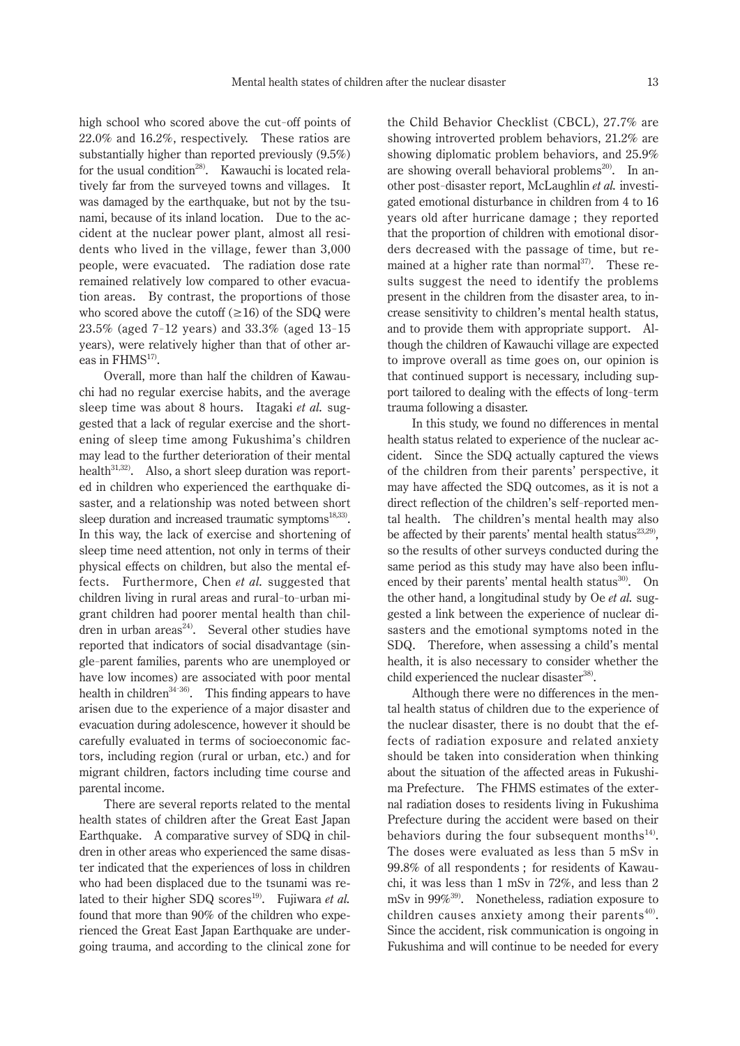high school who scored above the cut-off points of 22.0% and 16.2%, respectively. These ratios are substantially higher than reported previously (9.5%) for the usual condition<sup>28)</sup>. Kawauchi is located relatively far from the surveyed towns and villages. It was damaged by the earthquake, but not by the tsunami, because of its inland location. Due to the accident at the nuclear power plant, almost all residents who lived in the village, fewer than 3,000 people, were evacuated. The radiation dose rate remained relatively low compared to other evacuation areas. By contrast, the proportions of those who scored above the cutoff  $(\geq 16)$  of the SDQ were 23.5% (aged 7-12 years) and 33.3% (aged 13-15 years), were relatively higher than that of other areas in FHMS<sup>17)</sup>.

Overall, more than half the children of Kawauchi had no regular exercise habits, and the average sleep time was about 8 hours. Itagaki *et al.* suggested that a lack of regular exercise and the shortening of sleep time among Fukushima's children may lead to the further deterioration of their mental health $31,32$ . Also, a short sleep duration was reported in children who experienced the earthquake disaster, and a relationship was noted between short sleep duration and increased traumatic symptoms<sup>18,33)</sup>. In this way, the lack of exercise and shortening of sleep time need attention, not only in terms of their physical effects on children, but also the mental effects. Furthermore, Chen *et al.* suggested that children living in rural areas and rural-to-urban migrant children had poorer mental health than children in urban areas $^{24}$ . Several other studies have reported that indicators of social disadvantage (single-parent families, parents who are unemployed or have low incomes) are associated with poor mental health in children<sup>34-36</sup>. This finding appears to have arisen due to the experience of a major disaster and evacuation during adolescence, however it should be carefully evaluated in terms of socioeconomic factors, including region (rural or urban, etc.) and for migrant children, factors including time course and parental income.

There are several reports related to the mental health states of children after the Great East Japan Earthquake. A comparative survey of SDQ in children in other areas who experienced the same disaster indicated that the experiences of loss in children who had been displaced due to the tsunami was related to their higher SDQ scores<sup>19)</sup>. Fujiwara et al. found that more than 90% of the children who experienced the Great East Japan Earthquake are undergoing trauma, and according to the clinical zone for the Child Behavior Checklist (CBCL), 27.7% are showing introverted problem behaviors, 21.2% are showing diplomatic problem behaviors, and 25.9% are showing overall behavioral problems<sup>20)</sup>. In another post-disaster report, McLaughlin *et al.* investigated emotional disturbance in children from 4 to 16 years old after hurricane damage ; they reported that the proportion of children with emotional disorders decreased with the passage of time, but remained at a higher rate than normal $37$ . These results suggest the need to identify the problems present in the children from the disaster area, to increase sensitivity to children's mental health status, and to provide them with appropriate support. Although the children of Kawauchi village are expected to improve overall as time goes on, our opinion is that continued support is necessary, including support tailored to dealing with the effects of long-term trauma following a disaster.

In this study, we found no differences in mental health status related to experience of the nuclear accident. Since the SDQ actually captured the views of the children from their parents' perspective, it may have affected the SDQ outcomes, as it is not a direct reflection of the children's self-reported mental health. The children's mental health may also be affected by their parents' mental health status $^{23,29}$ , so the results of other surveys conducted during the same period as this study may have also been influenced by their parents' mental health status $30$ . On the other hand, a longitudinal study by Oe *et al.* suggested a link between the experience of nuclear disasters and the emotional symptoms noted in the SDQ. Therefore, when assessing a child's mental health, it is also necessary to consider whether the child experienced the nuclear disaster<sup>38</sup>.

Although there were no differences in the mental health status of children due to the experience of the nuclear disaster, there is no doubt that the effects of radiation exposure and related anxiety should be taken into consideration when thinking about the situation of the affected areas in Fukushima Prefecture. The FHMS estimates of the external radiation doses to residents living in Fukushima Prefecture during the accident were based on their behaviors during the four subsequent months $^{14}$ . The doses were evaluated as less than 5 mSv in 99.8% of all respondents ; for residents of Kawauchi, it was less than 1 mSv in 72%, and less than 2 mSv in 99%39). Nonetheless, radiation exposure to children causes anxiety among their parents $40$ . Since the accident, risk communication is ongoing in Fukushima and will continue to be needed for every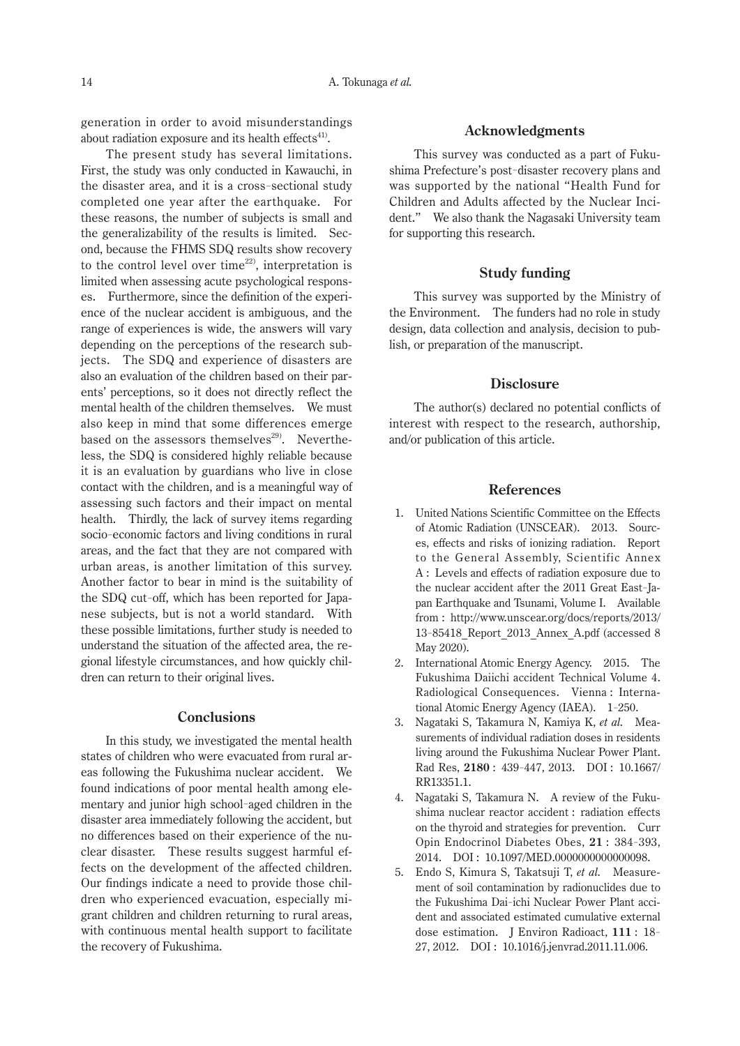generation in order to avoid misunderstandings about radiation exposure and its health effects $41$ .

The present study has several limitations. First, the study was only conducted in Kawauchi, in the disaster area, and it is a cross-sectional study completed one year after the earthquake. For these reasons, the number of subjects is small and the generalizability of the results is limited. Second, because the FHMS SDQ results show recovery to the control level over time<sup>22)</sup>, interpretation is limited when assessing acute psychological responses. Furthermore, since the definition of the experience of the nuclear accident is ambiguous, and the range of experiences is wide, the answers will vary depending on the perceptions of the research subjects. The SDQ and experience of disasters are also an evaluation of the children based on their parents' perceptions, so it does not directly reflect the mental health of the children themselves. We must also keep in mind that some differences emerge based on the assessors themselves<sup>29)</sup>. Nevertheless, the SDQ is considered highly reliable because it is an evaluation by guardians who live in close contact with the children, and is a meaningful way of assessing such factors and their impact on mental health. Thirdly, the lack of survey items regarding socio-economic factors and living conditions in rural areas, and the fact that they are not compared with urban areas, is another limitation of this survey. Another factor to bear in mind is the suitability of the SDQ cut-off, which has been reported for Japanese subjects, but is not a world standard. With these possible limitations, further study is needed to understand the situation of the affected area, the regional lifestyle circumstances, and how quickly children can return to their original lives.

#### **Conclusions**

In this study, we investigated the mental health states of children who were evacuated from rural areas following the Fukushima nuclear accident. We found indications of poor mental health among elementary and junior high school-aged children in the disaster area immediately following the accident, but no differences based on their experience of the nuclear disaster. These results suggest harmful effects on the development of the affected children. Our findings indicate a need to provide those children who experienced evacuation, especially migrant children and children returning to rural areas, with continuous mental health support to facilitate the recovery of Fukushima.

# **Acknowledgments**

This survey was conducted as a part of Fukushima Prefecture's post-disaster recovery plans and was supported by the national "Health Fund for Children and Adults affected by the Nuclear Incident." We also thank the Nagasaki University team for supporting this research.

## **Study funding**

This survey was supported by the Ministry of the Environment. The funders had no role in study design, data collection and analysis, decision to publish, or preparation of the manuscript.

## **Disclosure**

The author(s) declared no potential conflicts of interest with respect to the research, authorship, and/or publication of this article.

#### **References**

- 1. United Nations Scientific Committee on the Effects of Atomic Radiation (UNSCEAR). 2013. Sources, effects and risks of ionizing radiation. Report to the General Assembly, Scientific Annex A : Levels and effects of radiation exposure due to the nuclear accident after the 2011 Great East-Japan Earthquake and Tsunami, Volume I. Available from : http://www.unscear.org/docs/reports/2013/ 13- 85418\_Report\_2013\_Annex\_A.pdf (accessed 8 May 2020).
- 2. International Atomic Energy Agency. 2015. The Fukushima Daiichi accident Technical Volume 4. Radiological Consequences. Vienna : International Atomic Energy Agency (IAEA). 1- 250.
- 3. Nagataki S, Takamura N, Kamiya K, *et al.* Measurements of individual radiation doses in residents living around the Fukushima Nuclear Power Plant. Rad Res, **2180** : 439- 447, 2013. DOI : 10.1667/ RR13351.1.
- 4. Nagataki S, Takamura N. A review of the Fukushima nuclear reactor accident : radiation effects on the thyroid and strategies for prevention. Curr Opin Endocrinol Diabetes Obes, **21** : 384-393, 2014. DOI : 10.1097/MED.0000000000000098.
- 5. Endo S, Kimura S, Takatsuji T, *et al.* Measurement of soil contamination by radionuclides due to the Fukushima Dai-ichi Nuclear Power Plant accident and associated estimated cumulative external dose estimation. J Environ Radioact, **111** : 18- 27, 2012. DOI : 10.1016/j.jenvrad.2011.11.006.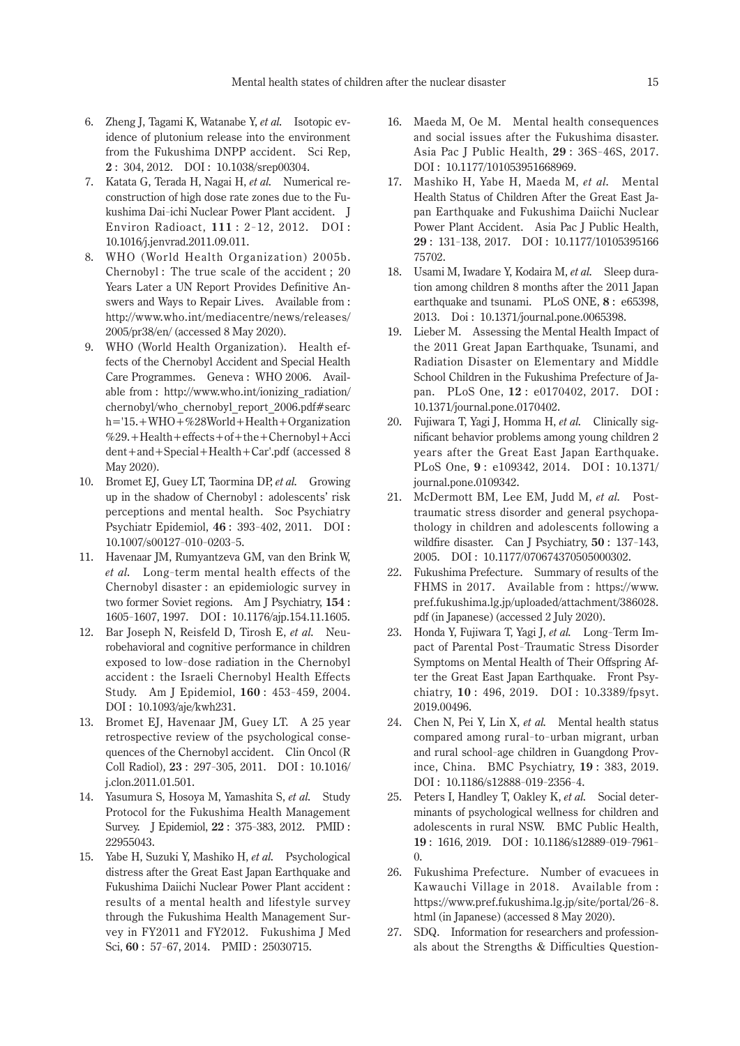- 6. Zheng J, Tagami K, Watanabe Y, *et al.* Isotopic evidence of plutonium release into the environment from the Fukushima DNPP accident. Sci Rep, **2** : 304, 2012. DOI : 10.1038/srep00304.
- 7. Katata G, Terada H, Nagai H, *et al.* Numerical reconstruction of high dose rate zones due to the Fukushima Dai-ichi Nuclear Power Plant accident. J Environ Radioact, **111** : 2-12, 2012. DOI : 10.1016/j.jenvrad.2011.09.011.
- 8. WHO (World Health Organization) 2005b. Chernobyl : The true scale of the accident ; 20 Years Later a UN Report Provides Definitive Answers and Ways to Repair Lives. Available from : http://www.who.int/mediacentre/news/releases/ 2005/pr38/en/ (accessed 8 May 2020).
- 9. WHO (World Health Organization). Health effects of the Chernobyl Accident and Special Health Care Programmes. Geneva : WHO 2006. Available from : http://www.who.int/ionizing\_radiation/ chernobyl/who\_chernobyl\_report\_2006.pdf#searc h='15.+WHO+%28World+Health+Organization %29.+Health+effects+of+the+Chernobyl+Acci dent+and+Special+Health+Car'.pdf (accessed 8 May 2020).
- 10. Bromet EJ, Guey LT, Taormina DP, *et al.* Growing up in the shadow of Chernobyl : adolescents' risk perceptions and mental health. Soc Psychiatry Psychiatr Epidemiol, **46** : 393- 402, 2011. DOI : 10.1007/s00127- 010- 0203- 5.
- 11. Havenaar JM, Rumyantzeva GM, van den Brink W, *et al.* Long-term mental health effects of the Chernobyl disaster : an epidemiologic survey in two former Soviet regions. Am J Psychiatry, **154** : 1605- 1607, 1997. DOI : 10.1176/ajp.154.11.1605.
- 12. Bar Joseph N, Reisfeld D, Tirosh E, *et al.* Neurobehavioral and cognitive performance in children exposed to low-dose radiation in the Chernobyl accident : the Israeli Chernobyl Health Effects Study. Am J Epidemiol, **160** : 453-459, 2004. DOI : 10.1093/aje/kwh231.
- 13. Bromet EJ, Havenaar JM, Guey LT. A 25 year retrospective review of the psychological consequences of the Chernobyl accident. Clin Oncol (R Coll Radiol), **23** : 297- 305, 2011. DOI : 10.1016/ j.clon.2011.01.501.
- 14. Yasumura S, Hosoya M, Yamashita S, *et al.* Study Protocol for the Fukushima Health Management Survey. J Epidemiol, **22** : 375- 383, 2012. PMID : 22955043.
- 15. Yabe H, Suzuki Y, Mashiko H, *et al.* Psychological distress after the Great East Japan Earthquake and Fukushima Daiichi Nuclear Power Plant accident : results of a mental health and lifestyle survey through the Fukushima Health Management Survey in FY2011 and FY2012. Fukushima J Med Sci, **60** : 57- 67, 2014. PMID : 25030715.
- 16. Maeda M, Oe M. Mental health consequences and social issues after the Fukushima disaster. Asia Pac J Public Health, **29** : 36S-46S, 2017. DOI : 10.1177/101053951668969.
- 17. Mashiko H, Yabe H, Maeda M, *et al.* Mental Health Status of Children After the Great East Japan Earthquake and Fukushima Daiichi Nuclear Power Plant Accident. Asia Pac J Public Health, **29** : 131- 138, 2017. DOI : 10.1177/10105395166 75702.
- 18. Usami M, Iwadare Y, Kodaira M, *et al.* Sleep duration among children 8 months after the 2011 Japan earthquake and tsunami. PLoS ONE, **8** : e65398, 2013. Doi : 10.1371/journal.pone.0065398.
- 19. Lieber M. Assessing the Mental Health Impact of the 2011 Great Japan Earthquake, Tsunami, and Radiation Disaster on Elementary and Middle School Children in the Fukushima Prefecture of Japan. PLoS One, **12** : e0170402, 2017. DOI : 10.1371/journal.pone.0170402.
- 20. Fujiwara T, Yagi J, Homma H, *et al.* Clinically significant behavior problems among young children 2 years after the Great East Japan Earthquake. PLoS One, **9** : e109342, 2014. DOI : 10.1371/ journal.pone.0109342.
- 21. McDermott BM, Lee EM, Judd M, *et al.* Posttraumatic stress disorder and general psychopathology in children and adolescents following a wildfire disaster. Can J Psychiatry, **50** : 137-143, 2005. DOI : 10.1177/070674370505000302.
- 22. Fukushima Prefecture. Summary of results of the FHMS in 2017. Available from : https://www. pref.fukushima.lg.jp/uploaded/attachment/386028. pdf (in Japanese) (accessed 2 July 2020).
- 23. Honda Y, Fujiwara T, Yagi J, *et al.* Long-Term Impact of Parental Post-Traumatic Stress Disorder Symptoms on Mental Health of Their Offspring After the Great East Japan Earthquake. Front Psychiatry, **10** : 496, 2019. DOI : 10.3389/fpsyt. 2019.00496.
- 24. Chen N, Pei Y, Lin X, *et al.* Mental health status compared among rural-to-urban migrant, urban and rural school-age children in Guangdong Province, China. BMC Psychiatry, **19** : 383, 2019. DOI: 10.1186/s12888-019-2356-4.
- 25. Peters I, Handley T, Oakley K, *et al.* Social determinants of psychological wellness for children and adolescents in rural NSW. BMC Public Health, 19: 1616, 2019. DOI: 10.1186/s12889-019-7961-0.
- 26. Fukushima Prefecture. Number of evacuees in Kawauchi Village in 2018. Available from : https://www.pref.fukushima.lg.jp/site/portal/26- 8. html (in Japanese) (accessed 8 May 2020).
- 27. SDQ. Information for researchers and professionals about the Strengths & Difficulties Question-